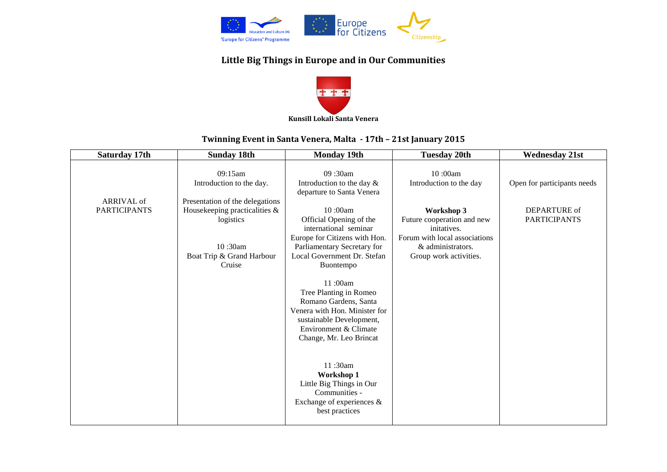

## **Little Big Things in Europe and in Our Communities**



## **Twinning Event in Santa Venera, Malta - 17th – 21st January 2015**

| Saturday 17th                     | <b>Sunday 18th</b>                                                                                                    | <b>Monday 19th</b>                                                                                                                                                                       | <b>Tuesday 20th</b>                                                                                                                     | <b>Wednesday 21st</b>               |
|-----------------------------------|-----------------------------------------------------------------------------------------------------------------------|------------------------------------------------------------------------------------------------------------------------------------------------------------------------------------------|-----------------------------------------------------------------------------------------------------------------------------------------|-------------------------------------|
|                                   | 09:15am<br>Introduction to the day.                                                                                   | 09:30am<br>Introduction to the day &<br>departure to Santa Venera                                                                                                                        | 10:00am<br>Introduction to the day                                                                                                      | Open for participants needs         |
| ARRIVAL of<br><b>PARTICIPANTS</b> | Presentation of the delegations<br>Housekeeping practicalities &<br>logistics<br>10:30am<br>Boat Trip & Grand Harbour | 10:00am<br>Official Opening of the<br>international seminar<br>Europe for Citizens with Hon.<br>Parliamentary Secretary for<br>Local Government Dr. Stefan                               | Workshop 3<br>Future cooperation and new<br>initatives.<br>Forum with local associations<br>& administrators.<br>Group work activities. | DEPARTURE of<br><b>PARTICIPANTS</b> |
|                                   | Cruise                                                                                                                | Buontempo<br>11:00am<br>Tree Planting in Romeo<br>Romano Gardens, Santa<br>Venera with Hon. Minister for<br>sustainable Development,<br>Environment & Climate<br>Change, Mr. Leo Brincat |                                                                                                                                         |                                     |
|                                   |                                                                                                                       | 11:30am<br>Workshop 1<br>Little Big Things in Our<br>Communities -<br>Exchange of experiences $\&$<br>best practices                                                                     |                                                                                                                                         |                                     |